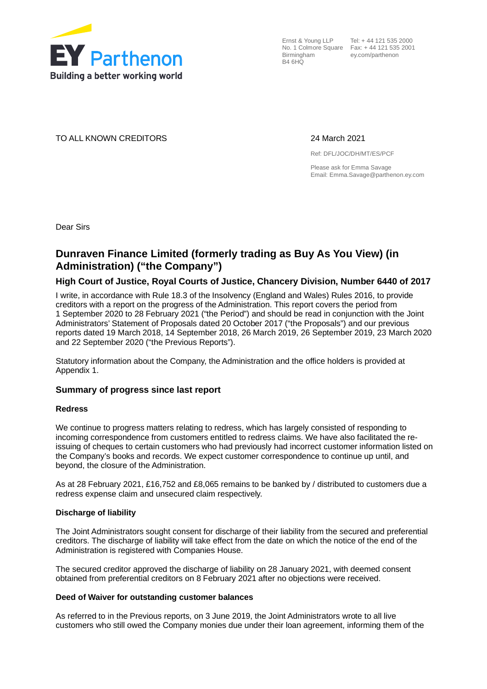

Ernst & Young LLP Tel: + 44 121 535 2000 No. 1 Colmore Square Fax: + 44 121 535 2001 **Birmingham** B4 6HQ

ey.com/parthenon

TO ALL KNOWN CREDITORS 24 March 2021

Ref: DFL/JOC/DH/MT/ES/PCF

Please ask for Emma Savage Email: Emma.Savage@parthenon.ey.com

Dear Sirs

## **Dunraven Finance Limited (formerly trading as Buy As You View) (in Administration) ("the Company")**

#### **High Court of Justice, Royal Courts of Justice, Chancery Division, Number 6440 of 2017**

I write, in accordance with Rule 18.3 of the Insolvency (England and Wales) Rules 2016, to provide creditors with a report on the progress of the Administration. This report covers the period from 1 September 2020 to 28 February 2021 ("the Period") and should be read in conjunction with the Joint Administrators' Statement of Proposals dated 20 October 2017 ("the Proposals") and our previous reports dated 19 March 2018, 14 September 2018, 26 March 2019, 26 September 2019, 23 March 2020 and 22 September 2020 ("the Previous Reports").

Statutory information about the Company, the Administration and the office holders is provided at Appendix 1.

#### **Summary of progress since last report**

#### **Redress**

We continue to progress matters relating to redress, which has largely consisted of responding to incoming correspondence from customers entitled to redress claims. We have also facilitated the reissuing of cheques to certain customers who had previously had incorrect customer information listed on the Company's books and records. We expect customer correspondence to continue up until, and beyond, the closure of the Administration.

As at 28 February 2021, £16,752 and £8,065 remains to be banked by / distributed to customers due a redress expense claim and unsecured claim respectively.

#### **Discharge of liability**

The Joint Administrators sought consent for discharge of their liability from the secured and preferential creditors. The discharge of liability will take effect from the date on which the notice of the end of the Administration is registered with Companies House.

The secured creditor approved the discharge of liability on 28 January 2021, with deemed consent obtained from preferential creditors on 8 February 2021 after no objections were received.

#### **Deed of Waiver for outstanding customer balances**

As referred to in the Previous reports, on 3 June 2019, the Joint Administrators wrote to all live customers who still owed the Company monies due under their loan agreement, informing them of the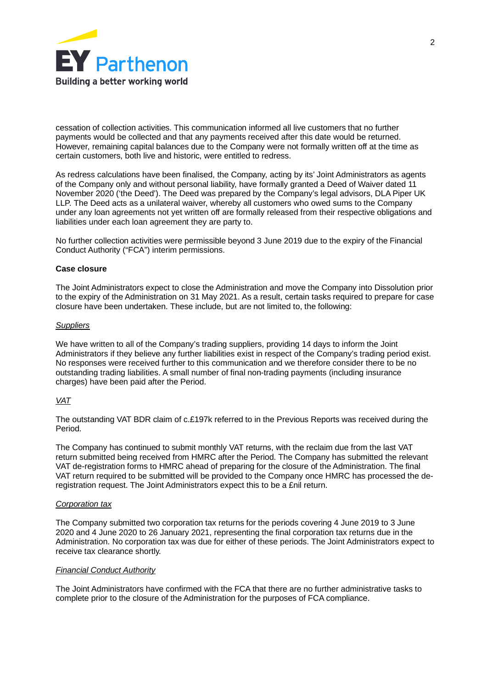

cessation of collection activities. This communication informed all live customers that no further payments would be collected and that any payments received after this date would be returned. However, remaining capital balances due to the Company were not formally written off at the time as certain customers, both live and historic, were entitled to redress.

As redress calculations have been finalised, the Company, acting by its' Joint Administrators as agents of the Company only and without personal liability, have formally granted a Deed of Waiver dated 11 November 2020 ('the Deed'). The Deed was prepared by the Company's legal advisors, DLA Piper UK LLP. The Deed acts as a unilateral waiver, whereby all customers who owed sums to the Company under any loan agreements not yet written off are formally released from their respective obligations and liabilities under each loan agreement they are party to.

No further collection activities were permissible beyond 3 June 2019 due to the expiry of the Financial Conduct Authority ("FCA") interim permissions.

#### **Case closure**

The Joint Administrators expect to close the Administration and move the Company into Dissolution prior to the expiry of the Administration on 31 May 2021. As a result, certain tasks required to prepare for case closure have been undertaken. These include, but are not limited to, the following:

#### *Suppliers*

We have written to all of the Company's trading suppliers, providing 14 days to inform the Joint Administrators if they believe any further liabilities exist in respect of the Company's trading period exist. No responses were received further to this communication and we therefore consider there to be no outstanding trading liabilities. A small number of final non-trading payments (including insurance charges) have been paid after the Period.

#### *VAT*

The outstanding VAT BDR claim of c.£197k referred to in the Previous Reports was received during the Period.

The Company has continued to submit monthly VAT returns, with the reclaim due from the last VAT return submitted being received from HMRC after the Period. The Company has submitted the relevant VAT de-registration forms to HMRC ahead of preparing for the closure of the Administration. The final VAT return required to be submitted will be provided to the Company once HMRC has processed the deregistration request. The Joint Administrators expect this to be a £nil return.

#### *Corporation tax*

The Company submitted two corporation tax returns for the periods covering 4 June 2019 to 3 June 2020 and 4 June 2020 to 26 January 2021, representing the final corporation tax returns due in the Administration. No corporation tax was due for either of these periods. The Joint Administrators expect to receive tax clearance shortly.

#### *Financial Conduct Authority*

The Joint Administrators have confirmed with the FCA that there are no further administrative tasks to complete prior to the closure of the Administration for the purposes of FCA compliance.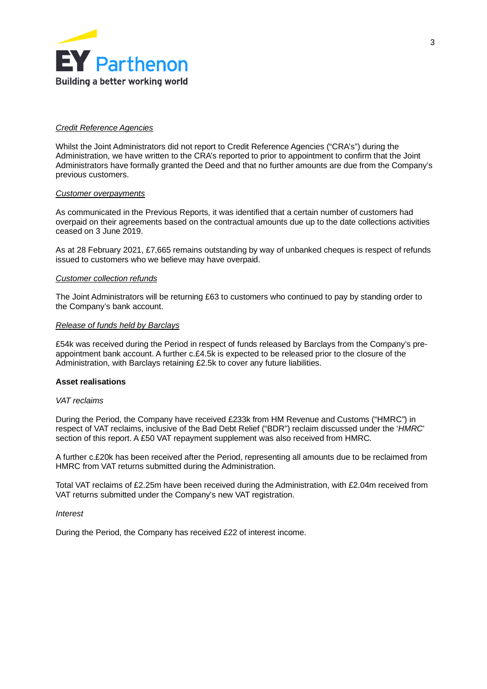

#### *Credit Reference Agencies*

Whilst the Joint Administrators did not report to Credit Reference Agencies ("CRA's") during the Administration, we have written to the CRA's reported to prior to appointment to confirm that the Joint Administrators have formally granted the Deed and that no further amounts are due from the Company's previous customers.

#### *Customer overpayments*

As communicated in the Previous Reports, it was identified that a certain number of customers had overpaid on their agreements based on the contractual amounts due up to the date collections activities ceased on 3 June 2019.

As at 28 February 2021, £7,665 remains outstanding by way of unbanked cheques is respect of refunds issued to customers who we believe may have overpaid.

#### *Customer collection refunds*

The Joint Administrators will be returning £63 to customers who continued to pay by standing order to the Company's bank account.

#### *Release of funds held by Barclays*

£54k was received during the Period in respect of funds released by Barclays from the Company's preappointment bank account. A further c.£4.5k is expected to be released prior to the closure of the Administration, with Barclays retaining £2.5k to cover any future liabilities.

#### **Asset realisations**

#### *VAT reclaims*

During the Period, the Company have received £233k from HM Revenue and Customs ("HMRC") in respect of VAT reclaims, inclusive of the Bad Debt Relief ("BDR") reclaim discussed under the '*HMRC*' section of this report. A £50 VAT repayment supplement was also received from HMRC.

A further c.£20k has been received after the Period, representing all amounts due to be reclaimed from HMRC from VAT returns submitted during the Administration.

Total VAT reclaims of £2.25m have been received during the Administration, with £2.04m received from VAT returns submitted under the Company's new VAT registration.

*Interest*

During the Period, the Company has received £22 of interest income.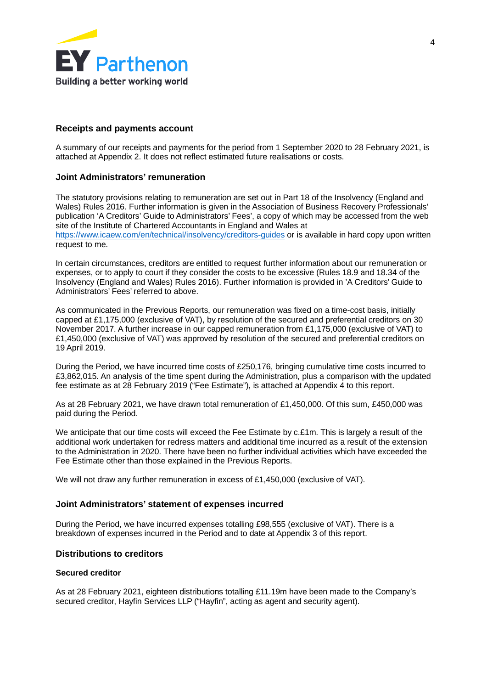

#### **Receipts and payments account**

A summary of our receipts and payments for the period from 1 September 2020 to 28 February 2021, is attached at Appendix 2. It does not reflect estimated future realisations or costs.

#### **Joint Administrators' remuneration**

The statutory provisions relating to remuneration are set out in Part 18 of the Insolvency (England and Wales) Rules 2016. Further information is given in the Association of Business Recovery Professionals' publication 'A Creditors' Guide to Administrators' Fees', a copy of which may be accessed from the web site of the Institute of Chartered Accountants in England and Wales at <https://www.icaew.com/en/technical/insolvency/creditors-guides> or is available in hard copy upon written request to me.

In certain circumstances, creditors are entitled to request further information about our remuneration or expenses, or to apply to court if they consider the costs to be excessive (Rules 18.9 and 18.34 of the Insolvency (England and Wales) Rules 2016). Further information is provided in 'A Creditors' Guide to Administrators' Fees' referred to above.

As communicated in the Previous Reports, our remuneration was fixed on a time-cost basis, initially capped at £1,175,000 (exclusive of VAT), by resolution of the secured and preferential creditors on 30 November 2017. A further increase in our capped remuneration from £1,175,000 (exclusive of VAT) to £1,450,000 (exclusive of VAT) was approved by resolution of the secured and preferential creditors on 19 April 2019.

During the Period, we have incurred time costs of £250,176, bringing cumulative time costs incurred to £3,862,015. An analysis of the time spent during the Administration, plus a comparison with the updated fee estimate as at 28 February 2019 ("Fee Estimate"), is attached at Appendix 4 to this report.

As at 28 February 2021, we have drawn total remuneration of £1,450,000. Of this sum, £450,000 was paid during the Period.

We anticipate that our time costs will exceed the Fee Estimate by c.£1m. This is largely a result of the additional work undertaken for redress matters and additional time incurred as a result of the extension to the Administration in 2020. There have been no further individual activities which have exceeded the Fee Estimate other than those explained in the Previous Reports.

We will not draw any further remuneration in excess of £1,450,000 (exclusive of VAT).

#### **Joint Administrators' statement of expenses incurred**

During the Period, we have incurred expenses totalling £98,555 (exclusive of VAT). There is a breakdown of expenses incurred in the Period and to date at Appendix 3 of this report.

#### **Distributions to creditors**

#### **Secured creditor**

As at 28 February 2021, eighteen distributions totalling £11.19m have been made to the Company's secured creditor, Hayfin Services LLP ("Hayfin", acting as agent and security agent).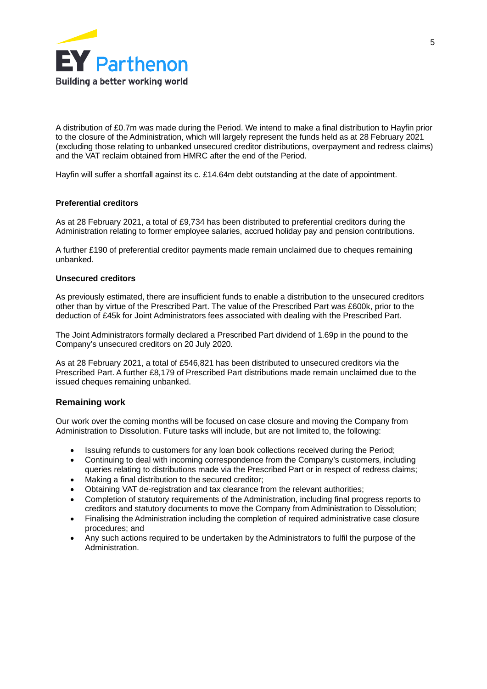

A distribution of £0.7m was made during the Period. We intend to make a final distribution to Hayfin prior to the closure of the Administration, which will largely represent the funds held as at 28 February 2021 (excluding those relating to unbanked unsecured creditor distributions, overpayment and redress claims) and the VAT reclaim obtained from HMRC after the end of the Period.

Hayfin will suffer a shortfall against its c. £14.64m debt outstanding at the date of appointment.

#### **Preferential creditors**

As at 28 February 2021, a total of £9,734 has been distributed to preferential creditors during the Administration relating to former employee salaries, accrued holiday pay and pension contributions.

A further £190 of preferential creditor payments made remain unclaimed due to cheques remaining unbanked.

#### **Unsecured creditors**

As previously estimated, there are insufficient funds to enable a distribution to the unsecured creditors other than by virtue of the Prescribed Part. The value of the Prescribed Part was £600k, prior to the deduction of £45k for Joint Administrators fees associated with dealing with the Prescribed Part.

The Joint Administrators formally declared a Prescribed Part dividend of 1.69p in the pound to the Company's unsecured creditors on 20 July 2020.

As at 28 February 2021, a total of £546,821 has been distributed to unsecured creditors via the Prescribed Part. A further £8,179 of Prescribed Part distributions made remain unclaimed due to the issued cheques remaining unbanked.

#### **Remaining work**

Our work over the coming months will be focused on case closure and moving the Company from Administration to Dissolution. Future tasks will include, but are not limited to, the following:

- · Issuing refunds to customers for any loan book collections received during the Period;
- · Continuing to deal with incoming correspondence from the Company's customers, including queries relating to distributions made via the Prescribed Part or in respect of redress claims;
- Making a final distribution to the secured creditor;
- · Obtaining VAT de-registration and tax clearance from the relevant authorities;
- · Completion of statutory requirements of the Administration, including final progress reports to creditors and statutory documents to move the Company from Administration to Dissolution;
- · Finalising the Administration including the completion of required administrative case closure procedures; and
- Any such actions required to be undertaken by the Administrators to fulfil the purpose of the **Administration**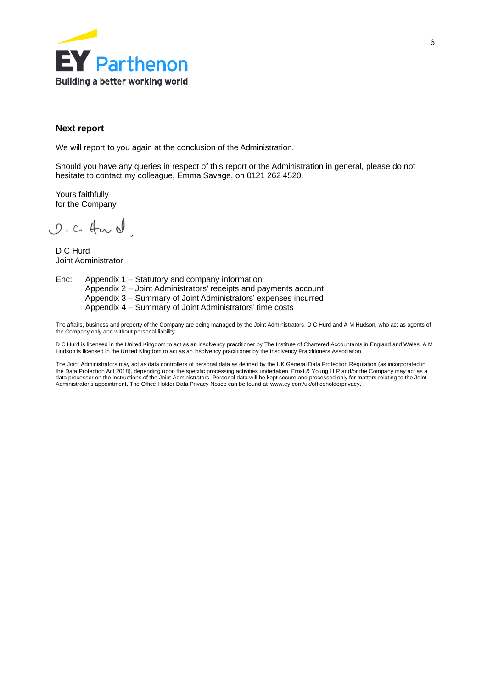

#### **Next report**

We will report to you again at the conclusion of the Administration.

Should you have any queries in respect of this report or the Administration in general, please do not hesitate to contact my colleague, Emma Savage, on 0121 262 4520.

Yours faithfully for the Company

 $0.24$ 

D C Hurd Joint Administrator

Enc: Appendix 1 – Statutory and company information Appendix 2 – Joint Administrators' receipts and payments account Appendix 3 – Summary of Joint Administrators' expenses incurred Appendix 4 – Summary of Joint Administrators' time costs

The affairs, business and property of the Company are being managed by the Joint Administrators, D C Hurd and A M Hudson, who act as agents of the Company only and without personal liability.

D C Hurd is licensed in the United Kingdom to act as an insolvency practitioner by The Institute of Chartered Accountants in England and Wales. A M Hudson is licensed in the United Kingdom to act as an insolvency practitioner by the Insolvency Practitioners Association.

The Joint Administrators may act as data controllers of personal data as defined by the UK General Data Protection Regulation (as incorporated in the Data Protection Act 2018), depending upon the specific processing activities undertaken. Ernst & Young LLP and/or the Company may act as a data processor on the instructions of the Joint Administrators. Personal data will be kept secure and processed only for matters relating to the Joint<br>Administrator's appointment. The Office Holder Data Privacy Notice can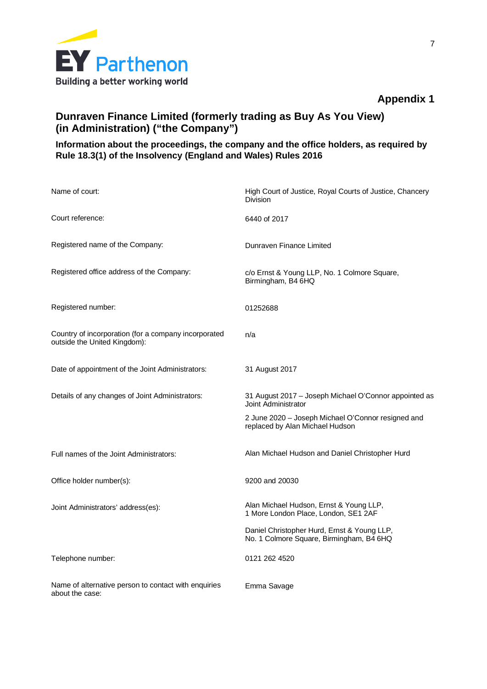

## **Dunraven Finance Limited (formerly trading as Buy As You View) (in Administration) ("the Company")**

## **Information about the proceedings, the company and the office holders, as required by Rule 18.3(1) of the Insolvency (England and Wales) Rules 2016**

| Name of court:                                                                       | High Court of Justice, Royal Courts of Justice, Chancery<br><b>Division</b>             |
|--------------------------------------------------------------------------------------|-----------------------------------------------------------------------------------------|
| Court reference:                                                                     | 6440 of 2017                                                                            |
| Registered name of the Company:                                                      | Dunraven Finance Limited                                                                |
| Registered office address of the Company:                                            | c/o Ernst & Young LLP, No. 1 Colmore Square,<br>Birmingham, B4 6HQ                      |
| Registered number:                                                                   | 01252688                                                                                |
| Country of incorporation (for a company incorporated<br>outside the United Kingdom): | n/a                                                                                     |
| Date of appointment of the Joint Administrators:                                     | 31 August 2017                                                                          |
| Details of any changes of Joint Administrators:                                      | 31 August 2017 - Joseph Michael O'Connor appointed as<br>Joint Administrator            |
|                                                                                      | 2 June 2020 - Joseph Michael O'Connor resigned and<br>replaced by Alan Michael Hudson   |
| Full names of the Joint Administrators:                                              | Alan Michael Hudson and Daniel Christopher Hurd                                         |
| Office holder number(s):                                                             | 9200 and 20030                                                                          |
| Joint Administrators' address(es):                                                   | Alan Michael Hudson, Ernst & Young LLP,<br>1 More London Place, London, SE1 2AF         |
|                                                                                      | Daniel Christopher Hurd, Ernst & Young LLP,<br>No. 1 Colmore Square, Birmingham, B4 6HQ |
| Telephone number:                                                                    | 0121 262 4520                                                                           |
| Name of alternative person to contact with enquiries<br>about the case:              | Emma Savage                                                                             |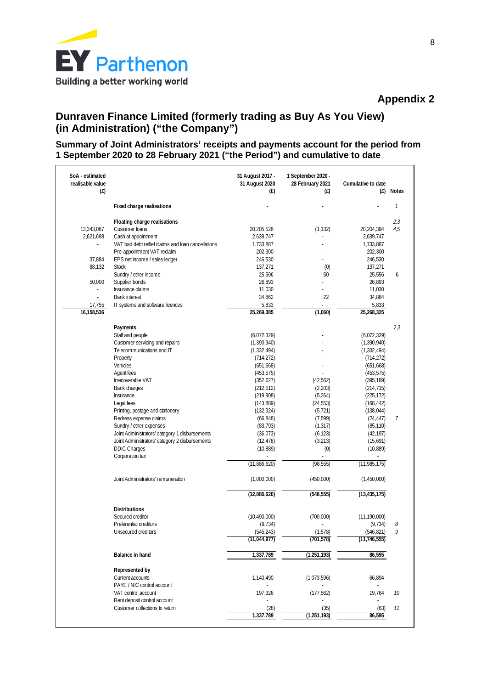

## **Dunraven Finance Limited (formerly trading as Buy As You View) (in Administration) ("the Company")**

### **Summary of Joint Administrators' receipts and payments account for the period from 1 September 2020 to 28 February 2021 ("the Period") and cumulative to date**

| SoA - estimated<br>realisable value<br>(E) |                                                    | 31 August 2017 -<br>31 August 2020<br>(E) | 1 September 2020 -<br>28 February 2021<br>(E) | Cumulative to date<br>(E) | <b>Notes</b> |
|--------------------------------------------|----------------------------------------------------|-------------------------------------------|-----------------------------------------------|---------------------------|--------------|
|                                            | Fixed charge realisations                          |                                           |                                               |                           | 1            |
|                                            | Floating charge realisations                       |                                           |                                               |                           | 2,3          |
| 13,343,067                                 | Customer loans                                     | 20,205,526                                | (1, 132)                                      | 20,204,394                | 4,5          |
| 2,621,698                                  | Cash at appointment                                | 2,639,747                                 |                                               | 2,639,747                 |              |
|                                            | VAT bad debt reflief claims and loan cancellations | 1,733,887                                 |                                               | 1,733,887                 |              |
| $\overline{a}$                             | Pre-appointment VAT reclaim                        | 202,300                                   |                                               | 202,300                   |              |
| 37,884                                     | EPS net income / sales ledger                      | 246,530                                   |                                               | 246,530                   |              |
| 88,132                                     | <b>Stock</b>                                       | 137,271                                   | (0)                                           | 137,271                   |              |
|                                            | Sundry / other income                              | 25,506                                    | 50                                            | 25,556                    | 6            |
| 50,000                                     | Supplier bonds                                     | 26,893                                    |                                               | 26,893                    |              |
| $\overline{a}$                             | Insurance claims                                   | 11,030                                    |                                               | 11,030                    |              |
|                                            | <b>Bank interest</b>                               | 34,862                                    | 22                                            | 34,884                    |              |
| 17,755                                     | IT systems and software licences                   | 5,833                                     | $\overline{\phantom{a}}$                      | 5,833                     |              |
| 16,158,536                                 |                                                    | 25,269,385                                | (1,060)                                       | 25,268,325                |              |
|                                            | Payments                                           |                                           |                                               |                           | 2,3          |
|                                            | Staff and people                                   | (6,072,329)                               |                                               | (6,072,329)               |              |
|                                            | Customer servicing and repairs                     | (1,390,940)                               |                                               | (1,390,940)               |              |
|                                            | Telecommunications and IT                          | (1,332,494)                               |                                               | (1, 332, 494)             |              |
|                                            | Property                                           | (714, 272)                                |                                               | (714, 272)                |              |
|                                            | Vehicles                                           | (651, 668)                                |                                               | (651, 668)                |              |
|                                            | Agent fees                                         | (453, 575)                                |                                               | (453, 575)                |              |
|                                            | <b>Irrecoverable VAT</b>                           | (352, 627)                                | (42,562)                                      | (395, 189)                |              |
|                                            | Bank charges                                       | (212, 512)                                | (2,203)                                       | (214, 715)                |              |
|                                            | Insurance                                          | (219,908)                                 | (5,264)                                       | (225, 172)                |              |
|                                            | Legal fees                                         | (143,889)                                 | (24, 553)                                     | (168, 442)                |              |
|                                            | Printing, postage and stationery                   | (132, 324)                                | (5, 721)                                      | (138, 044)                |              |
|                                            | Redress expense claims                             | (66, 848)                                 | (7, 599)                                      | (74, 447)                 | 7            |
|                                            | Sundry / other expenses                            | (83, 793)                                 | (1, 317)                                      | (85, 110)                 |              |
|                                            | Joint Administrators' category 1 disbursements     | (36,073)                                  | (6, 123)                                      | (42, 197)                 |              |
|                                            | Joint Administrators' category 2 disbursements     | (12, 478)                                 | (3,213)                                       | (15,691)                  |              |
|                                            | <b>DDIC Charges</b>                                | (10, 889)                                 | (0)                                           | (10, 889)                 |              |
|                                            | Corporation tax                                    |                                           |                                               |                           |              |
|                                            |                                                    | (11,886,620)                              | (98, 555)                                     | (11, 985, 175)            |              |
|                                            | Joint Administrators' remuneration                 | (1,000,000)                               | (450,000)                                     | (1,450,000)               |              |
|                                            |                                                    | (12,886,620)                              | (548, 555)                                    | (13, 435, 175)            |              |
|                                            |                                                    |                                           |                                               |                           |              |
|                                            | <b>Distributions</b>                               |                                           |                                               |                           |              |
|                                            | Secured creditor                                   | (10, 490, 000)                            | (700,000)                                     | (11, 190, 000)            |              |
|                                            | Preferential creditors                             | (9, 734)                                  |                                               | (9, 734)                  | 8<br>Q       |
|                                            | Unsecured creditors                                | (545, 243)<br>(11,044,977)                | (1,578)                                       | (546, 821)                |              |
|                                            |                                                    |                                           | (701, 578)                                    | (11, 746, 555)            |              |
|                                            | Balance in hand                                    | 1,337,789                                 | (1, 251, 193)                                 | 86,595                    |              |
|                                            | Represented by                                     |                                           |                                               |                           |              |
|                                            | Current accounts                                   | 1,140,490                                 | (1,073,596)                                   | 66,894                    |              |
|                                            | PAYE / NIC control account                         |                                           |                                               |                           |              |
|                                            | VAT control account                                | 197,326                                   | (177, 562)                                    | 19,764                    | 10           |
|                                            | Rent deposit control account                       |                                           |                                               |                           |              |
|                                            | Customer collections to return                     | (28)                                      | (35)                                          | (63)                      | 11           |
|                                            |                                                    | 1,337,789                                 | (1, 251, 193)                                 | 86,595                    |              |
|                                            |                                                    |                                           |                                               |                           |              |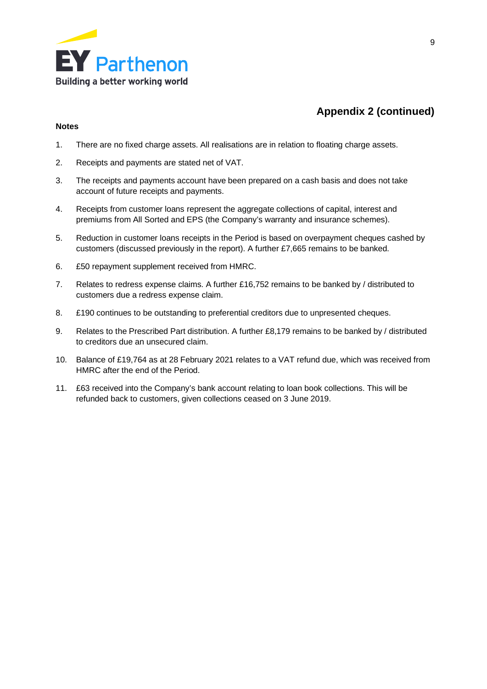

# **Appendix 2 (continued)**

#### **Notes**

- 1. There are no fixed charge assets. All realisations are in relation to floating charge assets.
- 2. Receipts and payments are stated net of VAT.
- 3. The receipts and payments account have been prepared on a cash basis and does not take account of future receipts and payments.
- 4. Receipts from customer loans represent the aggregate collections of capital, interest and premiums from All Sorted and EPS (the Company's warranty and insurance schemes).
- 5. Reduction in customer loans receipts in the Period is based on overpayment cheques cashed by customers (discussed previously in the report). A further £7,665 remains to be banked.
- 6. £50 repayment supplement received from HMRC.
- 7. Relates to redress expense claims. A further £16,752 remains to be banked by / distributed to customers due a redress expense claim.
- 8. £190 continues to be outstanding to preferential creditors due to unpresented cheques.
- 9. Relates to the Prescribed Part distribution. A further £8,179 remains to be banked by / distributed to creditors due an unsecured claim.
- 10. Balance of £19,764 as at 28 February 2021 relates to a VAT refund due, which was received from HMRC after the end of the Period.
- 11. £63 received into the Company's bank account relating to loan book collections. This will be refunded back to customers, given collections ceased on 3 June 2019.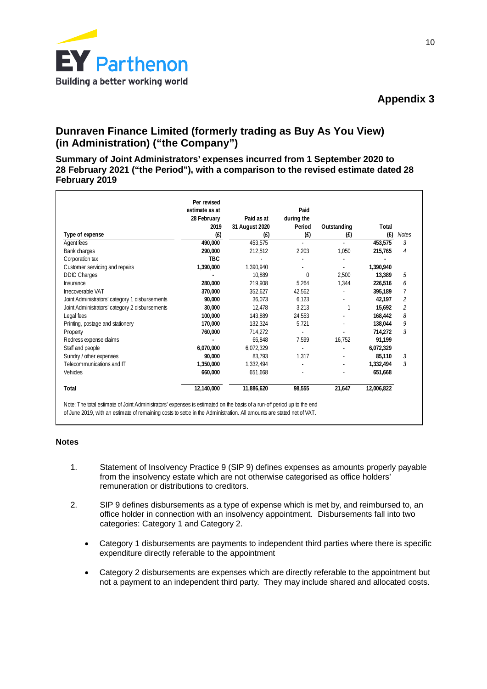

## **Dunraven Finance Limited (formerly trading as Buy As You View) (in Administration) ("the Company")**

**Summary of Joint Administrators' expenses incurred from 1 September 2020 to 28 February 2021 ("the Period"), with a comparison to the revised estimate dated 28 February 2019**

|                                                | Per revised<br>estimate as at |                | Paid       |             |            |                |
|------------------------------------------------|-------------------------------|----------------|------------|-------------|------------|----------------|
|                                                | 28 February                   | Paid as at     | during the |             |            |                |
|                                                | 2019                          | 31 August 2020 | Period     | Outstanding | Total      |                |
| Type of expense                                | (E)                           | (E)            | (f)        | (f)         | (f)        | <b>Notes</b>   |
| Agent fees                                     | 490.000                       | 453.575        | ÷.         | ÷.          | 453.575    | 3              |
| Bank charges                                   | 290,000                       | 212,512        | 2,203      | 1,050       | 215,765    | 4              |
| Corporation tax                                | <b>TBC</b>                    |                |            |             |            |                |
| Customer servicing and repairs                 | 1.390.000                     | 1.390.940      |            | $\sim$      | 1.390.940  |                |
| <b>DDIC Charges</b>                            |                               | 10,889         | $\Omega$   | 2,500       | 13,389     | 5              |
| Insurance                                      | 280.000                       | 219,908        | 5,264      | 1.344       | 226.516    | 6              |
| Irrecoverable VAT                              | 370.000                       | 352,627        | 42,562     |             | 395.189    | 7              |
| Joint Administrators' category 1 disbursements | 90.000                        | 36,073         | 6,123      |             | 42.197     | $\overline{2}$ |
| Joint Administrators' category 2 disbursements | 30,000                        | 12,478         | 3,213      |             | 15,692     | $\overline{2}$ |
| Legal fees                                     | 100.000                       | 143.889        | 24,553     |             | 168.442    | 8              |
| Printing, postage and stationery               | 170.000                       | 132,324        | 5,721      |             | 138.044    | 9              |
| Property                                       | 760.000                       | 714,272        | ä,         |             | 714.272    | 3              |
| Redress expense claims                         |                               | 66.848         | 7.599      | 16.752      | 91.199     |                |
| Staff and people                               | 6,070,000                     | 6,072,329      | ä,         |             | 6,072,329  |                |
| Sundry / other expenses                        | 90.000                        | 83,793         | 1,317      |             | 85,110     | 3              |
| Telecommunications and IT                      | 1.350.000                     | 1.332.494      |            |             | 1.332.494  | 3              |
| Vehicles                                       | 660.000                       | 651,668        |            |             | 651,668    |                |
| Total                                          | 12,140,000                    | 11,886,620     | 98.555     | 21.647      | 12,006,822 |                |

#### **Notes**

- 1. Statement of Insolvency Practice 9 (SIP 9) defines expenses as amounts properly payable from the insolvency estate which are not otherwise categorised as office holders' remuneration or distributions to creditors.
- 2. SIP 9 defines disbursements as a type of expense which is met by, and reimbursed to, an office holder in connection with an insolvency appointment. Disbursements fall into two categories: Category 1 and Category 2.
	- Category 1 disbursements are payments to independent third parties where there is specific expenditure directly referable to the appointment
	- Category 2 disbursements are expenses which are directly referable to the appointment but not a payment to an independent third party. They may include shared and allocated costs.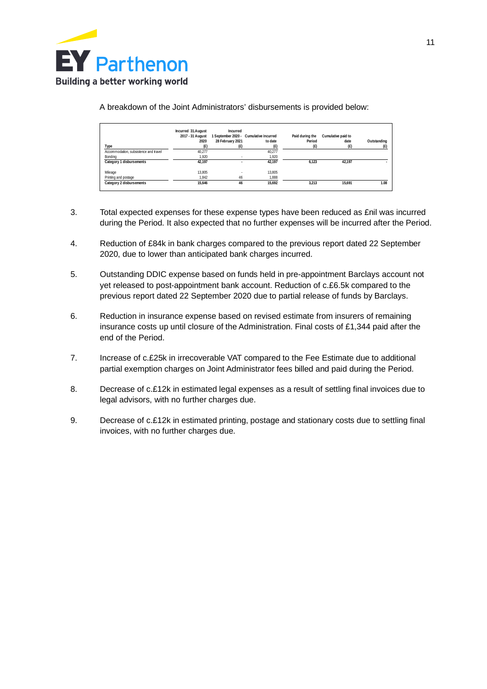

A breakdown of the Joint Administrators' disbursements is provided below:

|                                       | Incurred 31.August<br>2017 - 31 August | Incurred                 | 1 September 2020 - Cumulative incurred | Paid during the | Cumulative paid to |             |
|---------------------------------------|----------------------------------------|--------------------------|----------------------------------------|-----------------|--------------------|-------------|
|                                       | 2020                                   | 28 February 2021         | to date                                | Period          | date               | Outstanding |
| Type                                  | Œ)                                     | (E)                      | Œ                                      | (£)             | (£)                |             |
| Accommodation, subsistence and travel | 40.277                                 |                          | 40.277                                 |                 |                    |             |
| Bonding                               | 1.920                                  | $\sim$                   | 1.920                                  |                 |                    |             |
| Category 1 disbursements              | 42.197                                 | $\overline{\phantom{a}}$ | 42.197                                 | 6.123           | 42.197             |             |
| Mileage                               | 13.805                                 |                          | 13.805                                 |                 |                    |             |
| Printing and postage                  | 1.842                                  | 46                       | 1.888                                  |                 |                    |             |
| Category 2 disbursements              | 15.646                                 | 46                       | 15.692                                 | 3.213           | 15.691             | 1.08        |

- 3. Total expected expenses for these expense types have been reduced as £nil was incurred during the Period. It also expected that no further expenses will be incurred after the Period.
- 4. Reduction of £84k in bank charges compared to the previous report dated 22 September 2020, due to lower than anticipated bank charges incurred.
- 5. Outstanding DDIC expense based on funds held in pre-appointment Barclays account not yet released to post-appointment bank account. Reduction of c.£6.5k compared to the previous report dated 22 September 2020 due to partial release of funds by Barclays.
- 6. Reduction in insurance expense based on revised estimate from insurers of remaining insurance costs up until closure of the Administration. Final costs of £1,344 paid after the end of the Period.
- 7. Increase of c.£25k in irrecoverable VAT compared to the Fee Estimate due to additional partial exemption charges on Joint Administrator fees billed and paid during the Period.
- 8. Decrease of c.£12k in estimated legal expenses as a result of settling final invoices due to legal advisors, with no further charges due.
- 9. Decrease of c.£12k in estimated printing, postage and stationary costs due to settling final invoices, with no further charges due.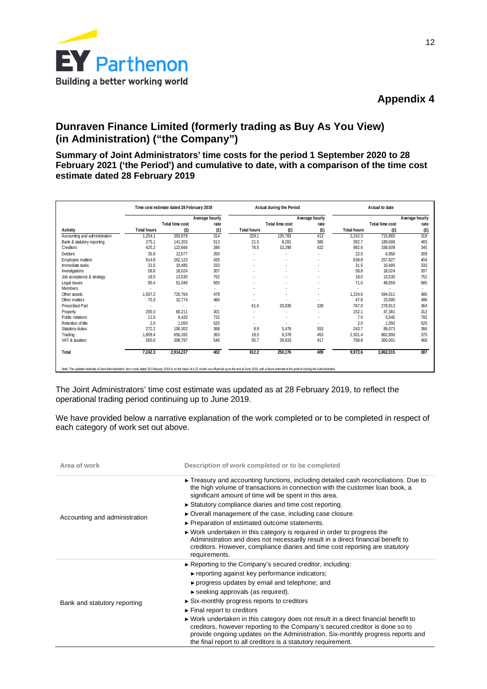

## **Dunraven Finance Limited (formerly trading as Buy As You View) (in Administration) ("the Company")**

**Summary of Joint Administrators' time costs for the period 1 September 2020 to 28 February 2021 ('the Period') and cumulative to date, with a comparison of the time cost estimate dated 28 February 2019**

|                               |                    | Time cost estimate dated 28 February 2019 |                |                    | Actual during the Period |                          |                    | Actual to date  |                |
|-------------------------------|--------------------|-------------------------------------------|----------------|--------------------|--------------------------|--------------------------|--------------------|-----------------|----------------|
|                               |                    |                                           | Average hourly |                    |                          | Average hourly           |                    |                 | Average hourly |
|                               |                    | Total time cost                           | rate           |                    | Total time cost          | rate                     |                    | Total time cost | rate           |
| Activity                      | <b>Total hours</b> | (f)                                       | (E)            | <b>Total hours</b> | (E)                      | (E)                      | <b>Total hours</b> | (E)             | (E)            |
| Accounting and administration | ,254.1             | 393,979                                   | 314            | 329.1              | 135,783                  | 413                      | 2,242.3            | 715,865         | 319            |
| Bank & statutory reporting    | 275.1              | 141,203                                   | 513            | 21.5               | 8,281                    | 385                      | 392.7              | 189,699         | 483            |
| Creditors                     | 425.2              | 122,666                                   | 288            | 76.5               | 32,290                   | 422                      | 982.6              | 338,509         | 345            |
| <b>Debtors</b>                | 35.9               | 12,577                                    | 350            | ٠                  | $\overline{\phantom{a}}$ | ۰                        | 22.5               | 6,950           | 309            |
| Employee matters              | 614.8              | 262,123                                   | 426            | ٠                  | $\overline{\phantom{a}}$ | ٠                        | 638.8              | 257,827         | 404            |
| Immediate tasks               | 31.5               | 10,485                                    | 333            |                    |                          |                          | 31.5               | 10.485          | 333            |
| Investigations                | 58.8               | 18.024                                    | 307            | ٠                  |                          | $\overline{\phantom{a}}$ | 58.8               | 18,024          | 307            |
| Job acceptance & strategy     | 18.0               | 13,530                                    | 752            | ٠                  |                          |                          | 18.0               | 13,530          | 752            |
| Legal issues                  | 90.4               | 51,049                                    | 565            | ×,                 |                          | $\overline{\phantom{a}}$ | 71.0               | 48,659          | 685            |
| Members                       |                    |                                           | ٠              | ٠                  |                          |                          |                    |                 | ٠              |
| Other assets                  | 1,507.2            | 720,764                                   | 478            | ×,                 |                          |                          | 1,224.6            | 594.011         | 485            |
| Other matters                 | 70.3               | 32,774                                    | 466            | ٠                  |                          |                          | 47.8               | 23,690          | 496            |
| <b>Prescribed Part</b>        |                    | ٠                                         | ٠              | 61.0               | 20,035                   | 328                      | 767.0              | 278,913         | 364            |
| Property                      | 200.3              | 60,211                                    | 301            | ٠                  |                          | ٠                        | 152.1              | 47,381          | 312            |
| Public relations              | 11.5               | 8,420                                     | 732            | ٠                  | $\overline{\phantom{a}}$ | ٠                        | 7.0                | 5,545           | 792            |
| Retention of title            | 2.0                | 1,050                                     | 525            | ٠                  |                          |                          | 2.0                | 1,050           | 525            |
| Statutory duties              | 272.2              | 100,302                                   | 368            | 9.9                | 5,476                    | 553                      | 243.7              | 89,073          | 366            |
| Trading                       | 1,809.4            | 656,282                                   | 363            | 18.5               | 8,378                    | 453                      | 2,301.4            | 862,800         | 375            |
| VAT & taxation                | 565.6              | 308,797                                   | 546            | 95.7               | 39,933                   | 417                      | 768.8              | 360,001         | 468            |
| Total                         | 7,242.3            | 2,914,237                                 | 402            | 612.2              | 250,176                  | 409                      | 9,972.6            | 3,862,015       | 387            |

Note: The updated estimate of Joint Administrators' fine costs dated 28 February 2019 is on the basis of a 22 month run-off period up to the end of June 2019, with a future estimate to the point of closing the Adminis

The Joint Administrators' time cost estimate was updated as at 28 February 2019, to reflect the operational trading period continuing up to June 2019.

We have provided below a narrative explanation of the work completed or to be completed in respect of each category of work set out above.

| Area of work                  | Description of work completed or to be completed                                                                                                                                                                                                                                                                                       |
|-------------------------------|----------------------------------------------------------------------------------------------------------------------------------------------------------------------------------------------------------------------------------------------------------------------------------------------------------------------------------------|
|                               | $\triangleright$ Treasury and accounting functions, including detailed cash reconciliations. Due to<br>the high volume of transactions in connection with the customer loan book, a<br>significant amount of time will be spent in this area.                                                                                          |
|                               | Statutory compliance diaries and time cost reporting.                                                                                                                                                                                                                                                                                  |
| Accounting and administration | $\triangleright$ Overall management of the case, including case closure.                                                                                                                                                                                                                                                               |
|                               | ► Preparation of estimated outcome statements.                                                                                                                                                                                                                                                                                         |
|                               | ► Work undertaken in this category is required in order to progress the<br>Administration and does not necessarily result in a direct financial benefit to<br>creditors. However, compliance diaries and time cost reporting are statutory<br>requirements.                                                                            |
|                               | Reporting to the Company's secured creditor, including:                                                                                                                                                                                                                                                                                |
|                               | $\triangleright$ reporting against key performance indicators;                                                                                                                                                                                                                                                                         |
|                               | ► progress updates by email and telephone; and                                                                                                                                                                                                                                                                                         |
|                               | $\triangleright$ seeking approvals (as required).                                                                                                                                                                                                                                                                                      |
| Bank and statutory reporting  | ► Six-monthly progress reports to creditors                                                                                                                                                                                                                                                                                            |
|                               | $\triangleright$ Final report to creditors                                                                                                                                                                                                                                                                                             |
|                               | $\triangleright$ Work undertaken in this category does not result in a direct financial benefit to<br>creditors, however reporting to the Company's secured creditor is done so to<br>provide ongoing updates on the Administration. Six-monthly progress reports and<br>the final report to all creditors is a statutory requirement. |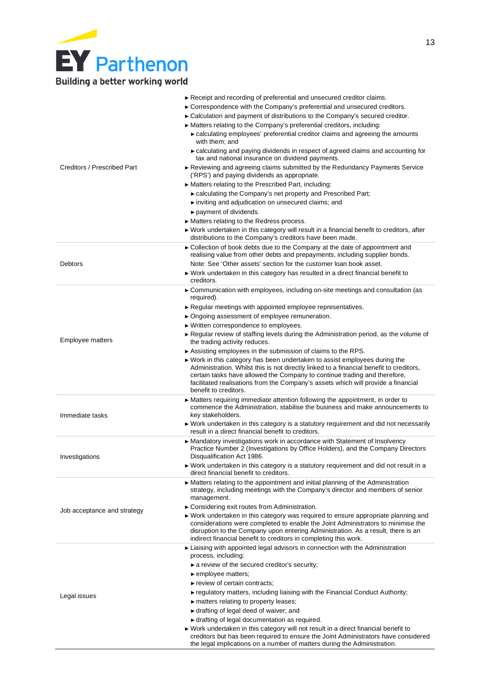# **EY** Parthenon Building a better working world

|                             | Receipt and recording of preferential and unsecured creditor claims.                                                                                                                                                                                                               |
|-----------------------------|------------------------------------------------------------------------------------------------------------------------------------------------------------------------------------------------------------------------------------------------------------------------------------|
|                             | $\triangleright$ Correspondence with the Company's preferential and unsecured creditors.                                                                                                                                                                                           |
|                             | ► Calculation and payment of distributions to the Company's secured creditor.                                                                                                                                                                                                      |
|                             | ► Matters relating to the Company's preferential creditors, including:                                                                                                                                                                                                             |
|                             | ► calculating employees' preferential creditor claims and agreeing the amounts<br>with them; and                                                                                                                                                                                   |
|                             | ► calculating and paying dividends in respect of agreed claims and accounting for<br>tax and national insurance on dividend payments.                                                                                                                                              |
| Creditors / Prescribed Part | $\blacktriangleright$ Reviewing and agreeing claims submitted by the Redundancy Payments Service<br>('RPS') and paying dividends as appropriate.                                                                                                                                   |
|                             | ► Matters relating to the Prescribed Part, including:                                                                                                                                                                                                                              |
|                             | ► calculating the Company's net property and Prescribed Part;                                                                                                                                                                                                                      |
|                             | inviting and adjudication on unsecured claims; and                                                                                                                                                                                                                                 |
|                             | payment of dividends.                                                                                                                                                                                                                                                              |
|                             | $\blacktriangleright$ Matters relating to the Redress process.                                                                                                                                                                                                                     |
|                             | ► Work undertaken in this category will result in a financial benefit to creditors, after                                                                                                                                                                                          |
|                             | distributions to the Company's creditors have been made.                                                                                                                                                                                                                           |
|                             | $\triangleright$ Collection of book debts due to the Company at the date of appointment and<br>realising value from other debts and prepayments, including supplier bonds.                                                                                                         |
| Debtors                     | Note: See 'Other assets' section for the customer loan book asset.                                                                                                                                                                                                                 |
|                             | ► Work undertaken in this category has resulted in a direct financial benefit to<br>creditors.                                                                                                                                                                                     |
|                             | Communication with employees, including on-site meetings and consultation (as<br>required).                                                                                                                                                                                        |
|                             | Regular meetings with appointed employee representatives.                                                                                                                                                                                                                          |
|                             | ▶ Ongoing assessment of employee remuneration.                                                                                                                                                                                                                                     |
|                             | ► Written correspondence to employees.                                                                                                                                                                                                                                             |
| Employee matters            | ► Regular review of staffing levels during the Administration period, as the volume of<br>the trading activity reduces.                                                                                                                                                            |
|                             | Assisting employees in the submission of claims to the RPS.                                                                                                                                                                                                                        |
|                             | ► Work in this category has been undertaken to assist employees during the                                                                                                                                                                                                         |
|                             | Administration. Whilst this is not directly linked to a financial benefit to creditors,<br>certain tasks have allowed the Company to continue trading and therefore,<br>facilitated realisations from the Company's assets which will provide a financial<br>benefit to creditors. |
|                             | ► Matters requiring immediate attention following the appointment, in order to                                                                                                                                                                                                     |
| Immediate tasks             | commence the Administration, stabilise the business and make announcements to<br>key stakeholders.                                                                                                                                                                                 |
|                             | ► Work undertaken in this category is a statutory requirement and did not necessarily<br>result in a direct financial benefit to creditors.                                                                                                                                        |
|                             | ► Mandatory investigations work in accordance with Statement of Insolvency<br>Practice Number 2 (Investigations by Office Holders), and the Company Directors                                                                                                                      |
| Investigations              | Disqualification Act 1986.<br>► Work undertaken in this category is a statutory requirement and did not result in a                                                                                                                                                                |
|                             | direct financial benefit to creditors.                                                                                                                                                                                                                                             |
|                             | ► Matters relating to the appointment and initial planning of the Administration<br>strategy, including meetings with the Company's director and members of senior<br>management.                                                                                                  |
|                             | ► Considering exit routes from Administration.                                                                                                                                                                                                                                     |
| Job acceptance and strategy | ► Work undertaken in this category was required to ensure appropriate planning and                                                                                                                                                                                                 |
|                             | considerations were completed to enable the Joint Administrators to minimise the                                                                                                                                                                                                   |
|                             | disruption to the Company upon entering Administration. As a result, there is an<br>indirect financial benefit to creditors in completing this work.                                                                                                                               |
|                             | ► Liaising with appointed legal advisors in connection with the Administration<br>process, including:                                                                                                                                                                              |
|                             | $\triangleright$ a review of the secured creditor's security;                                                                                                                                                                                                                      |
|                             | $\blacktriangleright$ employee matters;                                                                                                                                                                                                                                            |
|                             | $\blacktriangleright$ review of certain contracts;                                                                                                                                                                                                                                 |
| Legal issues                | $\triangleright$ regulatory matters, including liaising with the Financial Conduct Authority;                                                                                                                                                                                      |
|                             | matters relating to property leases;                                                                                                                                                                                                                                               |
|                             | $\triangleright$ drafting of legal deed of waiver; and                                                                                                                                                                                                                             |
|                             | If drafting of legal documentation as required.                                                                                                                                                                                                                                    |
|                             | ► Work undertaken in this category will not result in a direct financial benefit to<br>creditors but has been required to ensure the Joint Administrators have considered                                                                                                          |
|                             | the legal implications on a number of matters during the Administration.                                                                                                                                                                                                           |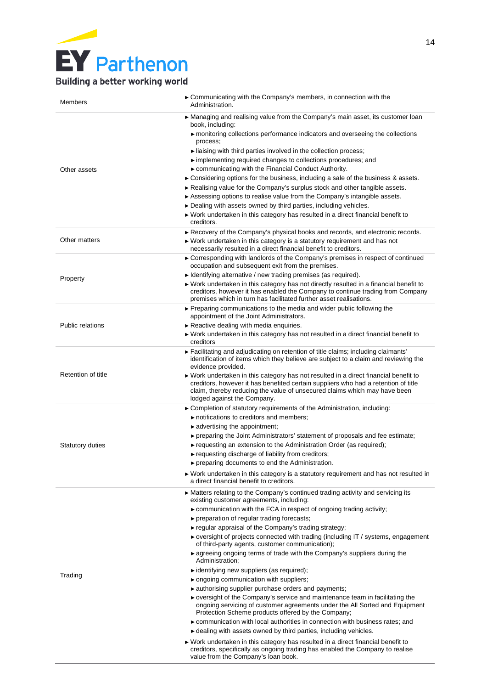| Members                 | ► Communicating with the Company's members, in connection with the<br>Administration.                                                                                                                                                                                                  |
|-------------------------|----------------------------------------------------------------------------------------------------------------------------------------------------------------------------------------------------------------------------------------------------------------------------------------|
|                         | ► Managing and realising value from the Company's main asset, its customer loan<br>book, including:<br>$\blacktriangleright$ monitoring collections performance indicators and overseeing the collections                                                                              |
|                         | process;                                                                                                                                                                                                                                                                               |
|                         | $\blacktriangleright$ liaising with third parties involved in the collection process;                                                                                                                                                                                                  |
|                         | implementing required changes to collections procedures; and                                                                                                                                                                                                                           |
| Other assets            | ► communicating with the Financial Conduct Authority.                                                                                                                                                                                                                                  |
|                         | $\triangleright$ Considering options for the business, including a sale of the business & assets.<br>Realising value for the Company's surplus stock and other tangible assets.                                                                                                        |
|                         | Assessing options to realise value from the Company's intangible assets.                                                                                                                                                                                                               |
|                         | ► Dealing with assets owned by third parties, including vehicles.                                                                                                                                                                                                                      |
|                         | ► Work undertaken in this category has resulted in a direct financial benefit to<br>creditors.                                                                                                                                                                                         |
|                         | Recovery of the Company's physical books and records, and electronic records.                                                                                                                                                                                                          |
| Other matters           | ► Work undertaken in this category is a statutory requirement and has not<br>necessarily resulted in a direct financial benefit to creditors.                                                                                                                                          |
|                         | ► Corresponding with landlords of the Company's premises in respect of continued<br>occupation and subsequent exit from the premises.                                                                                                                                                  |
| Property                | $\triangleright$ Identifying alternative / new trading premises (as required).                                                                                                                                                                                                         |
|                         | ► Work undertaken in this category has not directly resulted in a financial benefit to<br>creditors, however it has enabled the Company to continue trading from Company<br>premises which in turn has facilitated further asset realisations.                                         |
|                         | ► Preparing communications to the media and wider public following the<br>appointment of the Joint Administrators.                                                                                                                                                                     |
| <b>Public relations</b> | $\triangleright$ Reactive dealing with media enquiries.                                                                                                                                                                                                                                |
|                         | ► Work undertaken in this category has not resulted in a direct financial benefit to<br>creditors                                                                                                                                                                                      |
|                         | ► Facilitating and adjudicating on retention of title claims; including claimants'<br>identification of items which they believe are subject to a claim and reviewing the<br>evidence provided.                                                                                        |
| Retention of title      | ► Work undertaken in this category has not resulted in a direct financial benefit to<br>creditors, however it has benefited certain suppliers who had a retention of title<br>claim, thereby reducing the value of unsecured claims which may have been<br>lodged against the Company. |
|                         | ► Completion of statutory requirements of the Administration, including:                                                                                                                                                                                                               |
|                         | notifications to creditors and members;                                                                                                                                                                                                                                                |
|                         | $\blacktriangleright$ advertising the appointment;<br>$\blacktriangleright$ preparing the Joint Administrators' statement of proposals and fee estimate;                                                                                                                               |
| <b>Statutory duties</b> | ► requesting an extension to the Administration Order (as required);                                                                                                                                                                                                                   |
|                         | ► requesting discharge of liability from creditors;                                                                                                                                                                                                                                    |
|                         | $\blacktriangleright$ preparing documents to end the Administration.                                                                                                                                                                                                                   |
|                         | $\blacktriangleright$ Work undertaken in this category is a statutory requirement and has not resulted in<br>a direct financial benefit to creditors.                                                                                                                                  |
|                         | ► Matters relating to the Company's continued trading activity and servicing its<br>existing customer agreements, including:                                                                                                                                                           |
|                         | $\triangleright$ communication with the FCA in respect of ongoing trading activity;                                                                                                                                                                                                    |
|                         | ▶ preparation of regular trading forecasts;<br>► regular appraisal of the Company's trading strategy;                                                                                                                                                                                  |
|                         | ► oversight of projects connected with trading (including IT / systems, engagement                                                                                                                                                                                                     |
|                         | of third-party agents, customer communication);                                                                                                                                                                                                                                        |
|                         | ► agreeing ongoing terms of trade with the Company's suppliers during the<br>Administration;                                                                                                                                                                                           |
| Trading                 | $\blacktriangleright$ identifying new suppliers (as required);                                                                                                                                                                                                                         |
|                         | ► ongoing communication with suppliers;<br>authorising supplier purchase orders and payments;                                                                                                                                                                                          |
|                         | ► oversight of the Company's service and maintenance team in facilitating the<br>ongoing servicing of customer agreements under the All Sorted and Equipment<br>Protection Scheme products offered by the Company;                                                                     |
|                         | communication with local authorities in connection with business rates; and<br>► dealing with assets owned by third parties, including vehicles.                                                                                                                                       |
|                         | $\blacktriangleright$ Work undertaken in this category has resulted in a direct financial benefit to                                                                                                                                                                                   |
|                         | creditors, specifically as ongoing trading has enabled the Company to realise<br>value from the Company's loan book.                                                                                                                                                                   |